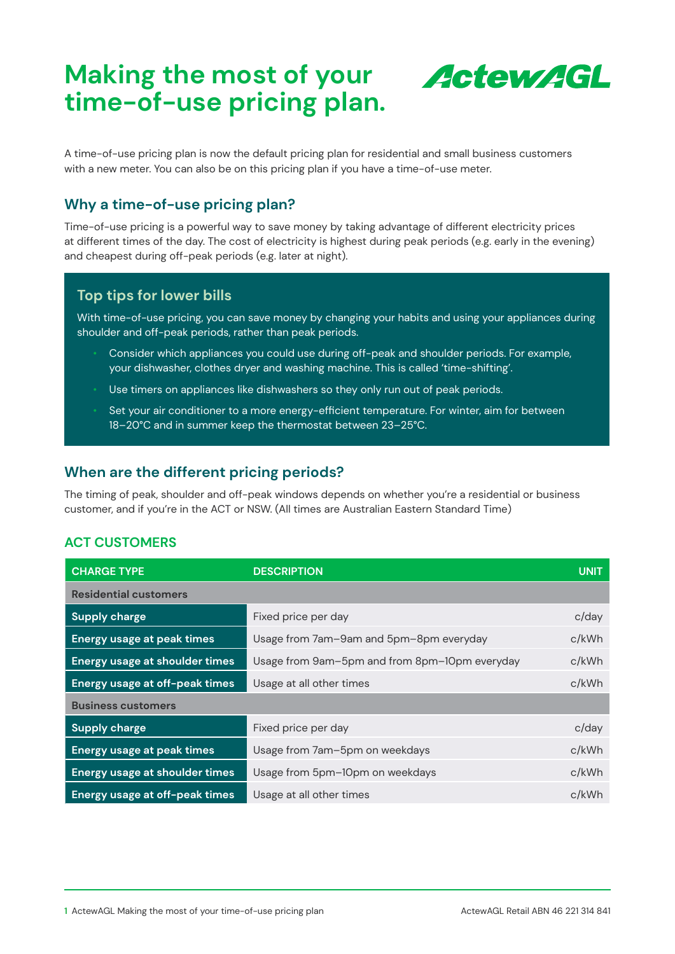# **Making the most of your time-of-use pricing plan.**



A time-of-use pricing plan is now the default pricing plan for residential and small business customers with a new meter. You can also be on this pricing plan if you have a time-of-use meter.

## **Why a time-of-use pricing plan?**

Time-of-use pricing is a powerful way to save money by taking advantage of different electricity prices at different times of the day. The cost of electricity is highest during peak periods (e.g. early in the evening) and cheapest during off-peak periods (e.g. later at night).

## **Top tips for lower bills**

With time-of-use pricing, you can save money by changing your habits and using your appliances during shoulder and off-peak periods, rather than peak periods.

- Consider which appliances you could use during off-peak and shoulder periods. For example, your dishwasher, clothes dryer and washing machine. This is called 'time-shifting'.
- Use timers on appliances like dishwashers so they only run out of peak periods.
- Set your air conditioner to a more energy-efficient temperature. For winter, aim for between 18–20°C and in summer keep the thermostat between 23–25°C.

## **When are the different pricing periods?**

The timing of peak, shoulder and off-peak windows depends on whether you're a residential or business customer, and if you're in the ACT or NSW. (All times are Australian Eastern Standard Time)

## **ACT CUSTOMERS**

| <b>CHARGE TYPE</b>                    | <b>DESCRIPTION</b>                            | <b>UNIT</b> |  |  |
|---------------------------------------|-----------------------------------------------|-------------|--|--|
| <b>Residential customers</b>          |                                               |             |  |  |
| <b>Supply charge</b>                  | Fixed price per day                           | c/day       |  |  |
| <b>Energy usage at peak times</b>     | Usage from 7am-9am and 5pm-8pm everyday       | c/kWh       |  |  |
| <b>Energy usage at shoulder times</b> | Usage from 9am-5pm and from 8pm-10pm everyday | c/kWh       |  |  |
| Energy usage at off-peak times        | Usage at all other times                      | c/kWh       |  |  |
| <b>Business customers</b>             |                                               |             |  |  |
| <b>Supply charge</b>                  | Fixed price per day                           | c/day       |  |  |
| <b>Energy usage at peak times</b>     | Usage from 7am-5pm on weekdays                | c/kWh       |  |  |
| <b>Energy usage at shoulder times</b> | Usage from 5pm-10pm on weekdays               | c/kWh       |  |  |
| Energy usage at off-peak times        | Usage at all other times                      | c/kWh       |  |  |